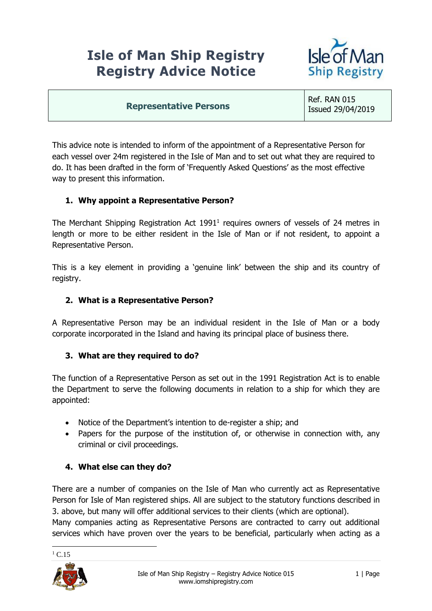# **Isle of Man Ship Registry Registry Advice Notice**



#### **Representative Persons**

Ref. RAN 015 Issued 29/04/2019

This advice note is intended to inform of the appointment of a Representative Person for each vessel over 24m registered in the Isle of Man and to set out what they are required to do. It has been drafted in the form of 'Frequently Asked Questions' as the most effective way to present this information.

# **1. Why appoint a Representative Person?**

The Merchant Shipping Registration Act  $1991<sup>1</sup>$  requires owners of vessels of 24 metres in length or more to be either resident in the Isle of Man or if not resident, to appoint a Representative Person.

This is a key element in providing a 'genuine link' between the ship and its country of registry.

#### **2. What is a Representative Person?**

A Representative Person may be an individual resident in the Isle of Man or a body corporate incorporated in the Island and having its principal place of business there.

### **3. What are they required to do?**

The function of a Representative Person as set out in the 1991 Registration Act is to enable the Department to serve the following documents in relation to a ship for which they are appointed:

- Notice of the Department's intention to de-register a ship; and
- Papers for the purpose of the institution of, or otherwise in connection with, any criminal or civil proceedings.

### **4. What else can they do?**

There are a number of companies on the Isle of Man who currently act as Representative Person for Isle of Man registered ships. All are subject to the statutory functions described in 3. above, but many will offer additional services to their clients (which are optional). Many companies acting as Representative Persons are contracted to carry out additional

services which have proven over the years to be beneficial, particularly when acting as a



<u>.</u>